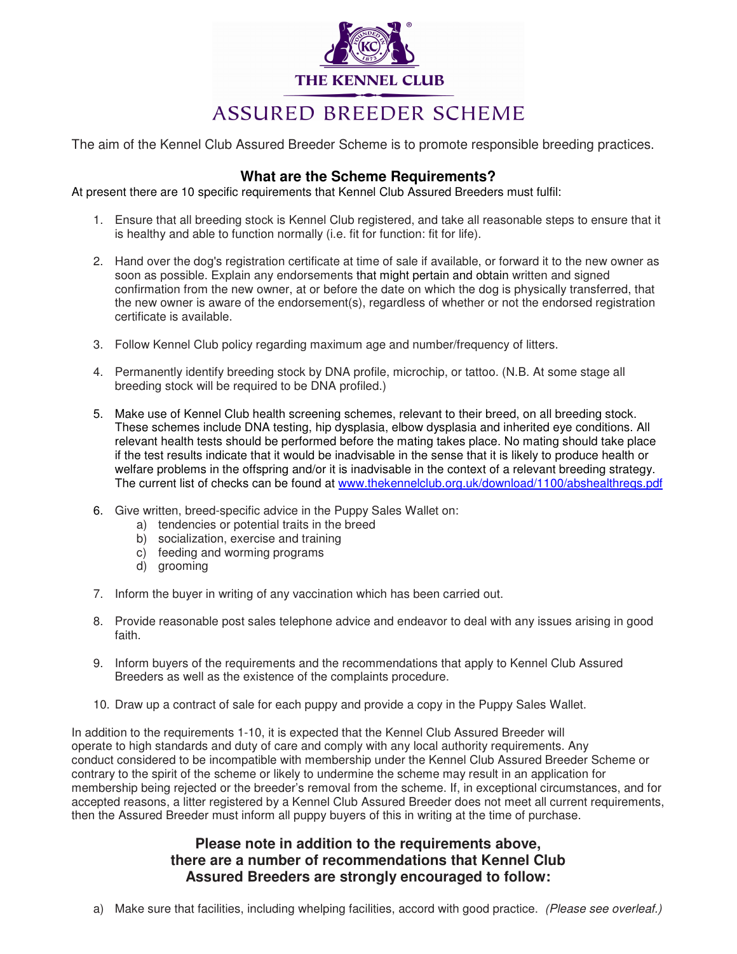

The aim of the Kennel Club Assured Breeder Scheme is to promote responsible breeding practices.

## **What are the Scheme Requirements?**

At present there are 10 specific requirements that Kennel Club Assured Breeders must fulfil:

- 1. Ensure that all breeding stock is Kennel Club registered, and take all reasonable steps to ensure that it is healthy and able to function normally (i.e. fit for function: fit for life).
- 2. Hand over the dog's registration certificate at time of sale if available, or forward it to the new owner as soon as possible. Explain any endorsements that might pertain and obtain written and signed confirmation from the new owner, at or before the date on which the dog is physically transferred, that the new owner is aware of the endorsement(s), regardless of whether or not the endorsed registration certificate is available.
- 3. Follow Kennel Club policy regarding maximum age and number/frequency of litters.
- 4. Permanently identify breeding stock by DNA profile, microchip, or tattoo. (N.B. At some stage all breeding stock will be required to be DNA profiled.)
- 5. Make use of Kennel Club health screening schemes, relevant to their breed, on all breeding stock. These schemes include DNA testing, hip dysplasia, elbow dysplasia and inherited eye conditions. All relevant health tests should be performed before the mating takes place. No mating should take place if the test results indicate that it would be inadvisable in the sense that it is likely to produce health or welfare problems in the offspring and/or it is inadvisable in the context of a relevant breeding strategy. The current list of checks can be found at www.thekennelclub.org.uk/download/1100/abshealthreqs.pdf
- 6. Give written, breed-specific advice in the Puppy Sales Wallet on:
	- a) tendencies or potential traits in the breed
	- b) socialization, exercise and training
	- c) feeding and worming programs
	- d) grooming
- 7. Inform the buyer in writing of any vaccination which has been carried out.
- 8. Provide reasonable post sales telephone advice and endeavor to deal with any issues arising in good faith.
- 9. Inform buyers of the requirements and the recommendations that apply to Kennel Club Assured Breeders as well as the existence of the complaints procedure.
- 10. Draw up a contract of sale for each puppy and provide a copy in the Puppy Sales Wallet.

In addition to the requirements 1-10, it is expected that the Kennel Club Assured Breeder will operate to high standards and duty of care and comply with any local authority requirements. Any conduct considered to be incompatible with membership under the Kennel Club Assured Breeder Scheme or contrary to the spirit of the scheme or likely to undermine the scheme may result in an application for membership being rejected or the breeder's removal from the scheme. If, in exceptional circumstances, and for accepted reasons, a litter registered by a Kennel Club Assured Breeder does not meet all current requirements, then the Assured Breeder must inform all puppy buyers of this in writing at the time of purchase.

# **Please note in addition to the requirements above, there are a number of recommendations that Kennel Club Assured Breeders are strongly encouraged to follow:**